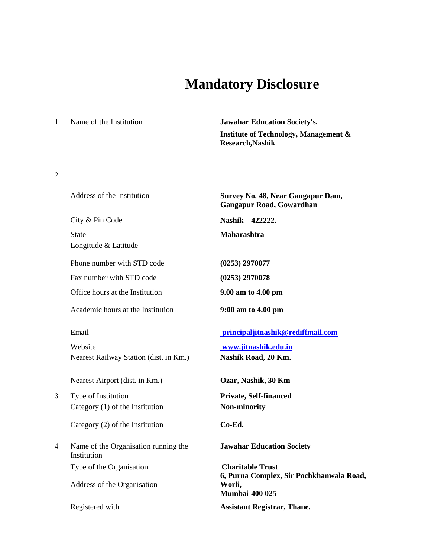# **Mandatory Disclosure**

<sup>1</sup> Name of the Institution **Jawahar Education Society's, Institute of Technology, Management & Research,Nashik**

### 2

|   | Address of the Institution                          | Survey No. 48, Near Gangapur Dam,<br><b>Gangapur Road, Gowardhan</b>        |
|---|-----------------------------------------------------|-----------------------------------------------------------------------------|
|   | City & Pin Code                                     | Nashik - 422222.                                                            |
|   | <b>State</b><br>Longitude & Latitude                | Maharashtra                                                                 |
|   | Phone number with STD code                          | (0253) 2970077                                                              |
|   | Fax number with STD code                            | (0253) 2970078                                                              |
|   | Office hours at the Institution                     | 9.00 am to 4.00 pm                                                          |
|   | Academic hours at the Institution                   | 9:00 am to 4.00 pm                                                          |
|   | Email                                               | principaljitnashik@rediffmail.com                                           |
|   | Website                                             | www.jitnashik.edu.in                                                        |
|   | Nearest Railway Station (dist. in Km.)              | Nashik Road, 20 Km.                                                         |
|   | Nearest Airport (dist. in Km.)                      | Ozar, Nashik, 30 Km                                                         |
| 3 | Type of Institution                                 | Private, Self-financed                                                      |
|   | Category $(1)$ of the Institution                   | <b>Non-minority</b>                                                         |
|   | Category (2) of the Institution                     | Co-Ed.                                                                      |
| 4 | Name of the Organisation running the<br>Institution | <b>Jawahar Education Society</b>                                            |
|   | Type of the Organisation                            | <b>Charitable Trust</b>                                                     |
|   | Address of the Organisation                         | 6, Purna Complex, Sir Pochkhanwala Road,<br>Worli,<br><b>Mumbai-400 025</b> |
|   | Registered with                                     | <b>Assistant Registrar, Thane.</b>                                          |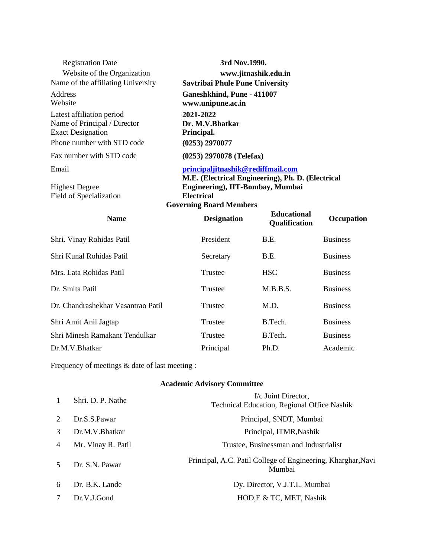| <b>Registration Date</b><br>Website of the Organization<br>Name of the affiliating University<br>Address<br>Website | 3rd Nov.1990.<br>www.jitnashik.edu.in<br><b>Savtribai Phule Pune University</b><br>Ganeshkhind, Pune - 411007<br>www.unipune.ac.in           |                                     |                 |
|---------------------------------------------------------------------------------------------------------------------|----------------------------------------------------------------------------------------------------------------------------------------------|-------------------------------------|-----------------|
| Latest affiliation period<br>Name of Principal / Director<br><b>Exact Designation</b><br>Phone number with STD code | 2021-2022<br>Dr. M.V.Bhatkar<br>Principal.<br>(0253) 2970077                                                                                 |                                     |                 |
| Fax number with STD code                                                                                            | $(0253)$ 2970078 (Telefax)                                                                                                                   |                                     |                 |
| Email                                                                                                               | principaljitnashik@rediffmail.com                                                                                                            |                                     |                 |
| <b>Highest Degree</b><br>Field of Specialization                                                                    | M.E. (Electrical Engineering), Ph. D. (Electrical<br>Engineering), IIT-Bombay, Mumbai<br><b>Electrical</b><br><b>Governing Board Members</b> |                                     |                 |
| <b>Name</b>                                                                                                         | <b>Designation</b>                                                                                                                           | <b>Educational</b><br>Qualification | Occupation      |
| Shri. Vinay Rohidas Patil                                                                                           | President                                                                                                                                    | B.E.                                | <b>Business</b> |
| Shri Kunal Rohidas Patil                                                                                            | Secretary                                                                                                                                    | B.E.                                | <b>Business</b> |
| Mrs. Lata Rohidas Patil                                                                                             | Trustee                                                                                                                                      | <b>HSC</b>                          | <b>Business</b> |
| Dr. Smita Patil                                                                                                     | Trustee                                                                                                                                      | M.B.B.S.                            | <b>Business</b> |
| Dr. Chandrashekhar Vasantrao Patil                                                                                  | Trustee                                                                                                                                      | M.D.                                | <b>Business</b> |
| Shri Amit Anil Jagtap                                                                                               | Trustee                                                                                                                                      | B.Tech.                             | <b>Business</b> |
| Shri Minesh Ramakant Tendulkar                                                                                      | <b>Trustee</b>                                                                                                                               | B.Tech.                             | <b>Business</b> |
| Dr.M.V.Bhatkar                                                                                                      | Principal                                                                                                                                    | Ph.D.                               | Academic        |

Frequency of meetings & date of last meeting :

## **Academic Advisory Committee**

| $\mathbf{1}$                | Shri. D. P. Nathe  | I/c Joint Director,<br>Technical Education, Regional Office Nashik     |
|-----------------------------|--------------------|------------------------------------------------------------------------|
| $\mathcal{D}_{\mathcal{L}}$ | Dr.S.S.Pawar       | Principal, SNDT, Mumbai                                                |
| $\mathcal{R}$               | Dr.M.V.Bhatkar     | Principal, ITMR, Nashik                                                |
| $\overline{4}$              | Mr. Vinay R. Patil | Trustee, Businessman and Industrialist                                 |
| $\sim$                      | Dr. S.N. Pawar     | Principal, A.C. Patil College of Engineering, Kharghar, Navi<br>Mumbai |
| 6                           | Dr. B.K. Lande     | Dy. Director, V.J.T.I., Mumbai                                         |
|                             | Dr.V.J.Gond        | HOD, E & TC, MET, Nashik                                               |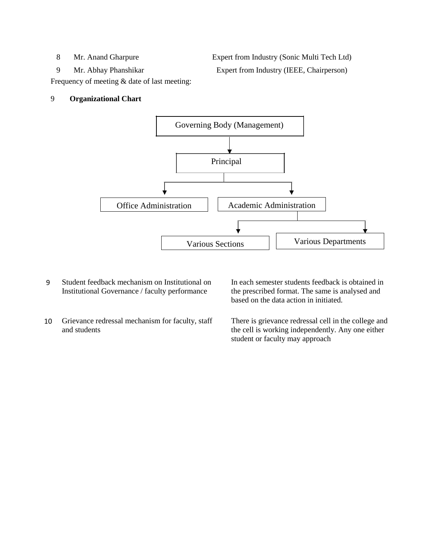8 Mr. Anand Gharpure Expert from Industry (Sonic Multi Tech Ltd) 9 Mr. Abhay Phanshikar Expert from Industry (IEEE, Chairperson)

Frequency of meeting & date of last meeting:

#### 9 **Organizational Chart**



- 9 Student feedback mechanism on Institutional on Institutional Governance / faculty performance
- 10 Grievance redressal mechanism for faculty, staff and students

In each semester students feedback is obtained in the prescribed format. The same is analysed and based on the data action in initiated.

There is grievance redressal cell in the college and the cell is working independently. Any one either student or faculty may approach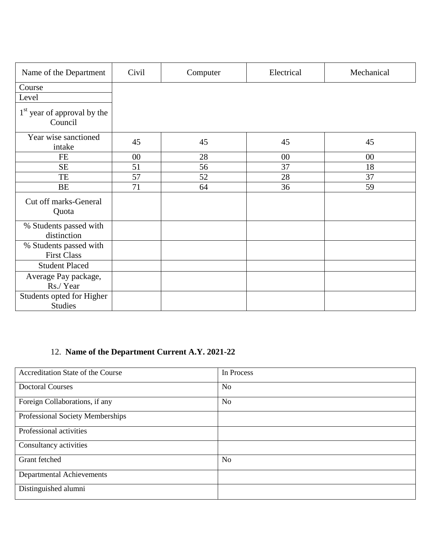| Name of the Department                       | Civil  | Computer | Electrical | Mechanical |
|----------------------------------------------|--------|----------|------------|------------|
| Course                                       |        |          |            |            |
| Level                                        |        |          |            |            |
| $1st$ year of approval by the<br>Council     |        |          |            |            |
| Year wise sanctioned<br>intake               | 45     | 45       | 45         | 45         |
| <b>FE</b>                                    | $00\,$ | 28       | $00\,$     | 00         |
| <b>SE</b>                                    | 51     | 56       | 37         | 18         |
| TE                                           | 57     | 52       | 28         | 37         |
| BE                                           | 71     | 64       | 36         | 59         |
| Cut off marks-General<br>Quota               |        |          |            |            |
| % Students passed with<br>distinction        |        |          |            |            |
| % Students passed with<br><b>First Class</b> |        |          |            |            |
| <b>Student Placed</b>                        |        |          |            |            |
| Average Pay package,<br>Rs./Year             |        |          |            |            |
| Students opted for Higher<br><b>Studies</b>  |        |          |            |            |

# 12. **Name of the Department Current A.Y. 2021-22**

| Accreditation State of the Course | In Process     |
|-----------------------------------|----------------|
| <b>Doctoral Courses</b>           | N <sub>0</sub> |
| Foreign Collaborations, if any    | N <sub>o</sub> |
| Professional Society Memberships  |                |
| Professional activities           |                |
| Consultancy activities            |                |
| Grant fetched                     | N <sub>o</sub> |
| Departmental Achievements         |                |
| Distinguished alumni              |                |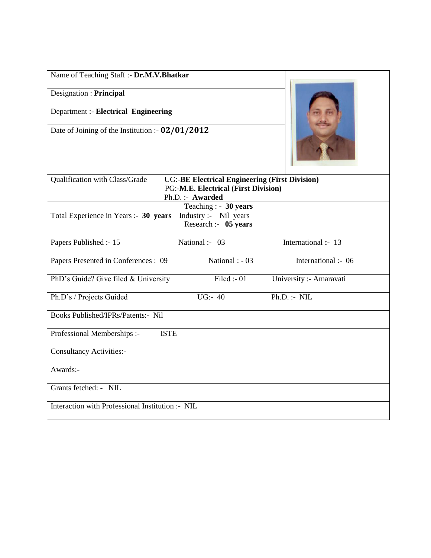| Name of Teaching Staff :- Dr.M.V.Bhatkar         |                                                                                                                         |                         |  |  |
|--------------------------------------------------|-------------------------------------------------------------------------------------------------------------------------|-------------------------|--|--|
| Designation : Principal                          |                                                                                                                         |                         |  |  |
| <b>Department :- Electrical Engineering</b>      |                                                                                                                         |                         |  |  |
| Date of Joining of the Institution :- 02/01/2012 |                                                                                                                         |                         |  |  |
| Qualification with Class/Grade                   | <b>UG:-BE Electrical Engineering (First Division)</b><br><b>PG:-M.E. Electrical (First Division)</b><br>Ph.D.:- Awarded |                         |  |  |
| Total Experience in Years :- 30 years            | Teaching : - 30 years<br>Industry :- Nil years<br>Research :- 05 years                                                  |                         |  |  |
| Papers Published :- 15                           | National :- 03                                                                                                          | International :- 13     |  |  |
| Papers Presented in Conferences : 09             | National : $-03$                                                                                                        | International :- 06     |  |  |
| PhD's Guide? Give filed & University             | Filed :- $01$                                                                                                           | University :- Amaravati |  |  |
| Ph.D's / Projects Guided                         | $\overline{UG}$ :-40                                                                                                    | Ph.D. : MIL             |  |  |
| <b>Books Published/IPRs/Patents:- Nil</b>        |                                                                                                                         |                         |  |  |
| <b>ISTE</b><br>Professional Memberships :-       |                                                                                                                         |                         |  |  |
| <b>Consultancy Activities:-</b>                  |                                                                                                                         |                         |  |  |
| Awards:-                                         |                                                                                                                         |                         |  |  |
| Grants fetched: - NIL                            |                                                                                                                         |                         |  |  |
| Interaction with Professional Institution :- NIL |                                                                                                                         |                         |  |  |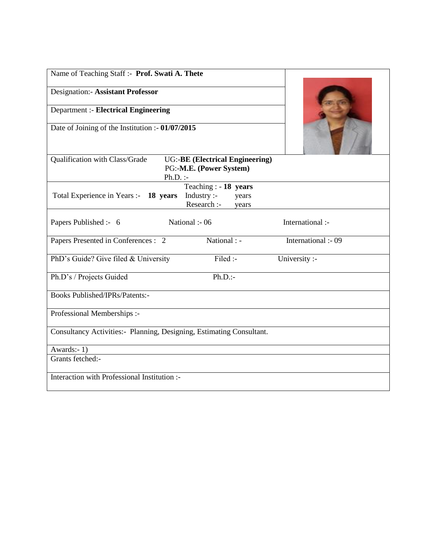| Name of Teaching Staff :- Prof. Swati A. Thete                       |                                                                        |                     |
|----------------------------------------------------------------------|------------------------------------------------------------------------|---------------------|
| <b>Designation:- Assistant Professor</b>                             |                                                                        |                     |
| <b>Department :- Electrical Engineering</b>                          |                                                                        |                     |
| Date of Joining of the Institution :- 01/07/2015                     |                                                                        |                     |
| Qualification with Class/Grade<br>$Ph.D.$ :-                         | <b>UG:-BE (Electrical Engineering)</b><br>PG:-M.E. (Power System)      |                     |
| Total Experience in Years :- 18 years                                | Teaching : $-18$ years<br>Industry :-<br>years<br>Research :-<br>years |                     |
| Papers Published :- 6                                                | National :- 06                                                         | International :-    |
| Papers Presented in Conferences : 2                                  | National : -                                                           | International :- 09 |
| PhD's Guide? Give filed & University                                 | Filed :-                                                               | University :-       |
| Ph.D's / Projects Guided                                             | $Ph.D.$ :-                                                             |                     |
| <b>Books Published/IPRs/Patents:-</b>                                |                                                                        |                     |
| Professional Memberships :-                                          |                                                                        |                     |
| Consultancy Activities:- Planning, Designing, Estimating Consultant. |                                                                        |                     |
| Awards:- $1$ )                                                       |                                                                        |                     |
| Grants fetched:-                                                     |                                                                        |                     |
| Interaction with Professional Institution :-                         |                                                                        |                     |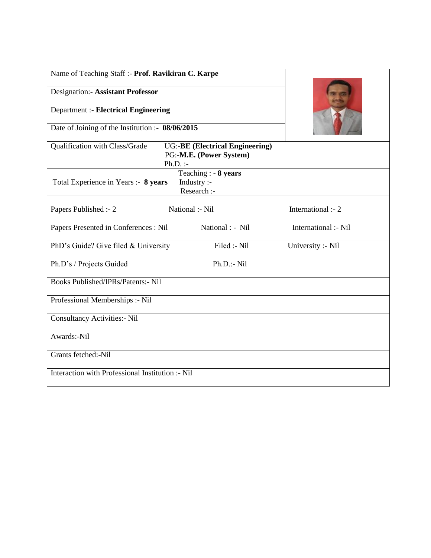| Name of Teaching Staff :- Prof. Ravikiran C. Karpe |                                                                                 |                      |
|----------------------------------------------------|---------------------------------------------------------------------------------|----------------------|
| <b>Designation:- Assistant Professor</b>           |                                                                                 |                      |
| <b>Department :- Electrical Engineering</b>        |                                                                                 |                      |
| Date of Joining of the Institution :- 08/06/2015   |                                                                                 |                      |
| Qualification with Class/Grade                     | <b>UG:-BE (Electrical Engineering)</b><br>PG:-M.E. (Power System)<br>$Ph.D.$ :- |                      |
| Total Experience in Years :- 8 years               | Teaching : - 8 years<br>Industry :-<br>Research :-                              |                      |
| Papers Published :- 2                              | National :- Nil                                                                 | International :- 2   |
| Papers Presented in Conferences : Nil              | National : - Nil                                                                | International :- Nil |
| PhD's Guide? Give filed & University               | Filed :- Nil                                                                    | University :- Nil    |
| Ph.D's / Projects Guided                           | Ph.D.:- Nil                                                                     |                      |
| <b>Books Published/IPRs/Patents:- Nil</b>          |                                                                                 |                      |
| Professional Memberships :- Nil                    |                                                                                 |                      |
| <b>Consultancy Activities:- Nil</b>                |                                                                                 |                      |
| Awards:-Nil                                        |                                                                                 |                      |
| Grants fetched:-Nil                                |                                                                                 |                      |
| Interaction with Professional Institution :- Nil   |                                                                                 |                      |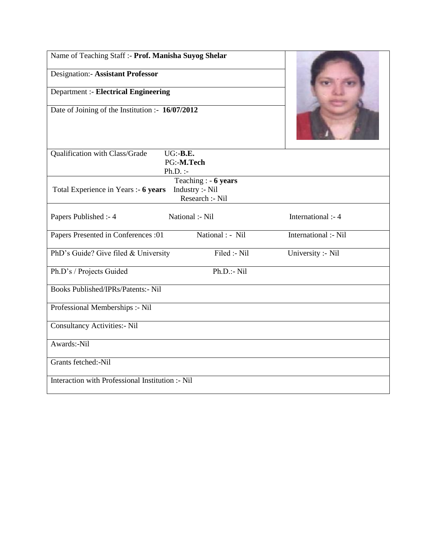| Name of Teaching Staff :- Prof. Manisha Suyog Shelar     |                                                             |                      |
|----------------------------------------------------------|-------------------------------------------------------------|----------------------|
| <b>Designation:- Assistant Professor</b>                 |                                                             |                      |
| <b>Department :- Electrical Engineering</b>              |                                                             |                      |
| Date of Joining of the Institution :- 16/07/2012         |                                                             |                      |
| Qualification with Class/Grade<br>UG: B.E.<br>$Ph.D.$ :- | PG:-M.Tech                                                  |                      |
| Total Experience in Years :- 6 years                     | Teaching : $-6$ years<br>Industry :- Nil<br>Research :- Nil |                      |
| Papers Published :- 4                                    | National :- Nil                                             | International :- 4   |
| Papers Presented in Conferences :01                      | National : - Nil                                            | International :- Nil |
| PhD's Guide? Give filed & University                     | Filed :- Nil                                                | University :- Nil    |
| Ph.D's / Projects Guided                                 | $Ph.D.:$ - Nil                                              |                      |
| Books Published/IPRs/Patents:- Nil                       |                                                             |                      |
| Professional Memberships :- Nil                          |                                                             |                      |
| <b>Consultancy Activities:- Nil</b>                      |                                                             |                      |
| Awards:-Nil                                              |                                                             |                      |
| Grants fetched:-Nil                                      |                                                             |                      |
| Interaction with Professional Institution :- Nil         |                                                             |                      |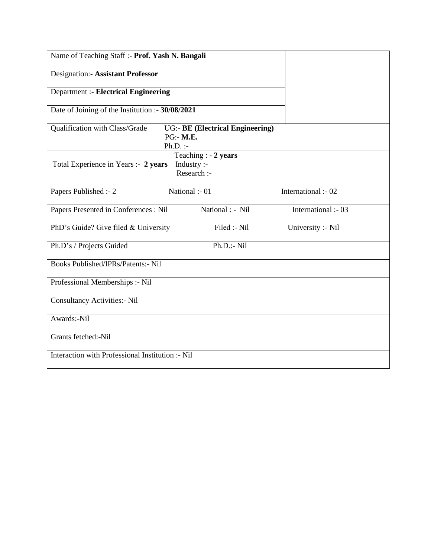| Name of Teaching Staff :- Prof. Yash N. Bangali  |                                                                    |                     |
|--------------------------------------------------|--------------------------------------------------------------------|---------------------|
| <b>Designation:- Assistant Professor</b>         |                                                                    |                     |
| <b>Department :- Electrical Engineering</b>      |                                                                    |                     |
| Date of Joining of the Institution :- 30/08/2021 |                                                                    |                     |
| Qualification with Class/Grade                   | <b>UG:- BE (Electrical Engineering)</b><br>PG:- M.E.<br>$Ph.D.$ :- |                     |
| Total Experience in Years :- 2 years             | Teaching : $-2$ years<br>Industry :-<br>Research :-                |                     |
| Papers Published :- 2                            | National :- 01                                                     | International :- 02 |
| Papers Presented in Conferences : Nil            | National : - Nil                                                   | International :- 03 |
| PhD's Guide? Give filed & University             | Filed :- Nil                                                       | University :- Nil   |
| Ph.D's / Projects Guided                         | Ph.D.:- Nil                                                        |                     |
| <b>Books Published/IPRs/Patents:- Nil</b>        |                                                                    |                     |
| Professional Memberships :- Nil                  |                                                                    |                     |
| <b>Consultancy Activities:- Nil</b>              |                                                                    |                     |
| Awards:-Nil                                      |                                                                    |                     |
| Grants fetched:-Nil                              |                                                                    |                     |
| Interaction with Professional Institution :- Nil |                                                                    |                     |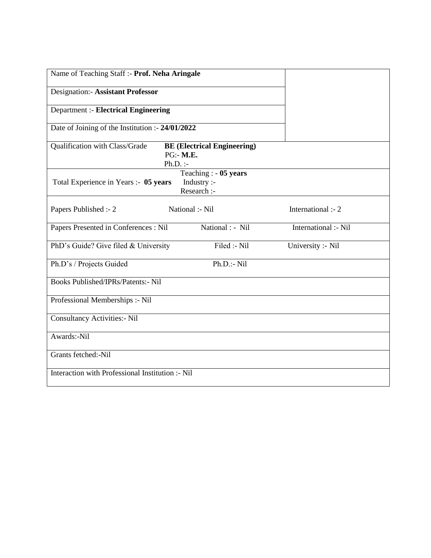| Name of Teaching Staff :- Prof. Neha Aringale             |                                                      |                      |
|-----------------------------------------------------------|------------------------------------------------------|----------------------|
| <b>Designation:- Assistant Professor</b>                  |                                                      |                      |
| Department :- Electrical Engineering                      |                                                      |                      |
| Date of Joining of the Institution :- 24/01/2022          |                                                      |                      |
| Qualification with Class/Grade<br>PG:- M.E.<br>$Ph.D.$ :- | <b>BE (Electrical Engineering)</b>                   |                      |
| Total Experience in Years :- 05 years                     | Teaching : $-05$ years<br>Industry :-<br>Research :- |                      |
| National :- Nil<br>Papers Published :- 2                  |                                                      | International :- 2   |
| Papers Presented in Conferences : Nil                     | National : - Nil                                     | International :- Nil |
| PhD's Guide? Give filed & University                      | Filed :- Nil                                         | University :- Nil    |
| Ph.D's / Projects Guided                                  | $Ph.D.:$ - Nil                                       |                      |
| <b>Books Published/IPRs/Patents:- Nil</b>                 |                                                      |                      |
| Professional Memberships :- Nil                           |                                                      |                      |
| <b>Consultancy Activities:- Nil</b>                       |                                                      |                      |
| Awards:-Nil                                               |                                                      |                      |
| Grants fetched:-Nil                                       |                                                      |                      |
| Interaction with Professional Institution :- Nil          |                                                      |                      |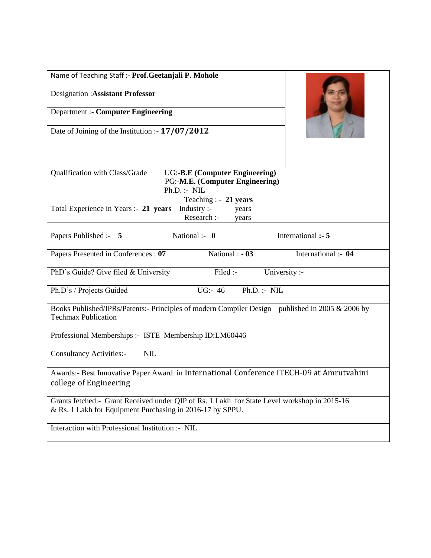| Name of Teaching Staff :- Prof.Geetanjali P. Mohole                                                                                                      |                     |  |  |  |
|----------------------------------------------------------------------------------------------------------------------------------------------------------|---------------------|--|--|--|
| <b>Designation: Assistant Professor</b>                                                                                                                  |                     |  |  |  |
| <b>Department :- Computer Engineering</b>                                                                                                                |                     |  |  |  |
| Date of Joining of the Institution :- 17/07/2012                                                                                                         |                     |  |  |  |
| Qualification with Class/Grade<br><b>UG:-B.E (Computer Engineering)</b><br>PG:-M.E. (Computer Engineering)<br>Ph.D. : M.L.                               |                     |  |  |  |
| Teaching : - 21 years<br>Total Experience in Years :- 21 years<br>Industry $:$<br>years<br>Research :-<br>years                                          |                     |  |  |  |
| National :- $\mathbf{0}$<br>Papers Published :- 5                                                                                                        | International :- 5  |  |  |  |
| National : - 03<br>Papers Presented in Conferences : 07                                                                                                  | International :- 04 |  |  |  |
| Filed :-<br>PhD's Guide? Give filed & University<br>University :-                                                                                        |                     |  |  |  |
| UG:- $46$<br>Ph.D. : M.L.<br>Ph.D's / Projects Guided                                                                                                    |                     |  |  |  |
| Books Published/IPRs/Patents:- Principles of modern Compiler Design published in 2005 & 2006 by<br><b>Techmax Publication</b>                            |                     |  |  |  |
| Professional Memberships :- ISTE Membership ID:LM60446                                                                                                   |                     |  |  |  |
| <b>Consultancy Activities:-</b><br>NIL                                                                                                                   |                     |  |  |  |
| Awards:- Best Innovative Paper Award in International Conference ITECH-09 at Amrutvahini<br>college of Engineering                                       |                     |  |  |  |
| Grants fetched:- Grant Received under QIP of Rs. 1 Lakh for State Level workshop in 2015-16<br>& Rs. 1 Lakh for Equipment Purchasing in 2016-17 by SPPU. |                     |  |  |  |
| Interaction with Professional Institution :- NIL                                                                                                         |                     |  |  |  |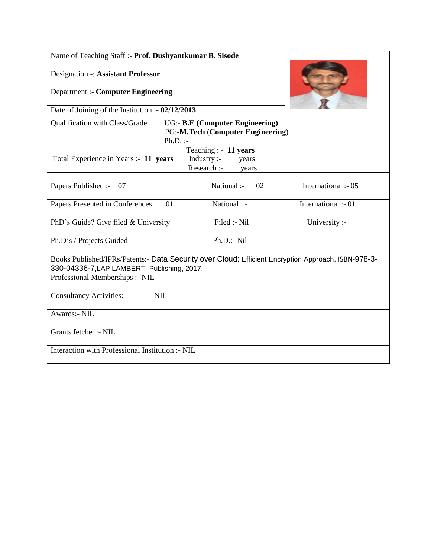| Name of Teaching Staff :- Prof. Dushyantkumar B. Sisode                                                                                                                              |                                                                             |                     |  |
|--------------------------------------------------------------------------------------------------------------------------------------------------------------------------------------|-----------------------------------------------------------------------------|---------------------|--|
| Designation -: Assistant Professor                                                                                                                                                   |                                                                             |                     |  |
| <b>Department :- Computer Engineering</b>                                                                                                                                            |                                                                             |                     |  |
| Date of Joining of the Institution :- $02/12/2013$                                                                                                                                   |                                                                             |                     |  |
| Qualification with Class/Grade<br>$Ph.D.$ :-                                                                                                                                         | <b>UG:- B.E (Computer Engineering)</b><br>PG:-M.Tech (Computer Engineering) |                     |  |
| Total Experience in Years :- 11 years                                                                                                                                                | Teaching : $-11$ years<br>Industry :-<br>years<br>Research :-<br>years      |                     |  |
| Papers Published :-<br>- 07                                                                                                                                                          | National :-<br>02                                                           | International :- 05 |  |
| Papers Presented in Conferences :<br>01                                                                                                                                              | National : -                                                                | International :- 01 |  |
| PhD's Guide? Give filed & University                                                                                                                                                 | Filed :- Nil                                                                | University :-       |  |
| Ph.D's / Projects Guided                                                                                                                                                             | Ph.D.:- Nil                                                                 |                     |  |
| Books Published/IPRs/Patents:- Data Security over Cloud: Efficient Encryption Approach, ISBN-978-3-<br>330-04336-7, LAP LAMBERT Publishing, 2017.<br>Professional Memberships :- NIL |                                                                             |                     |  |
|                                                                                                                                                                                      |                                                                             |                     |  |
| <b>NIL</b><br><b>Consultancy Activities:-</b>                                                                                                                                        |                                                                             |                     |  |
| Awards:- NIL                                                                                                                                                                         |                                                                             |                     |  |
| Grants fetched: - NIL                                                                                                                                                                |                                                                             |                     |  |
| Interaction with Professional Institution :- NIL                                                                                                                                     |                                                                             |                     |  |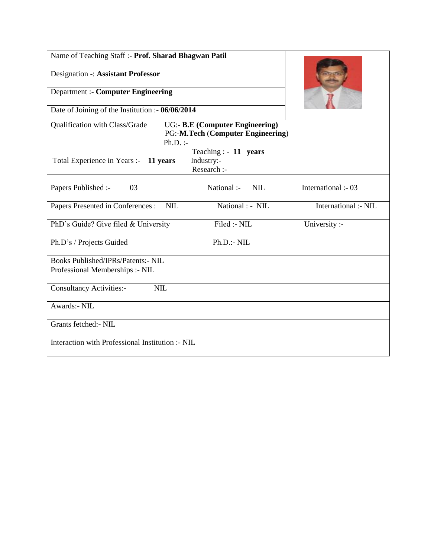| Name of Teaching Staff :- Prof. Sharad Bhagwan Patil |                                                                             |                      |
|------------------------------------------------------|-----------------------------------------------------------------------------|----------------------|
| Designation -: Assistant Professor                   |                                                                             |                      |
| <b>Department :- Computer Engineering</b>            |                                                                             |                      |
| Date of Joining of the Institution :- 06/06/2014     |                                                                             |                      |
| Qualification with Class/Grade<br>$Ph.D.$ :-         | <b>UG:- B.E (Computer Engineering)</b><br>PG:-M.Tech (Computer Engineering) |                      |
|                                                      | Teaching : $-11$ years                                                      |                      |
| Total Experience in Years :- 11 years                | Industry:-<br>Research :-                                                   |                      |
| Papers Published :-<br>03                            | National :-<br><b>NIL</b>                                                   | International :- 03  |
| Papers Presented in Conferences :<br><b>NIL</b>      | National : - NIL                                                            | International :- NIL |
| PhD's Guide? Give filed & University                 | Filed :- NIL                                                                | University :-        |
| Ph.D's / Projects Guided                             | $Ph.D.:$ - NIL                                                              |                      |
| Books Published/IPRs/Patents:- NIL                   |                                                                             |                      |
| Professional Memberships :- NIL                      |                                                                             |                      |
| <b>NIL</b><br><b>Consultancy Activities:-</b>        |                                                                             |                      |
| <b>Awards:- NIL</b>                                  |                                                                             |                      |
| Grants fetched:- NIL                                 |                                                                             |                      |
| Interaction with Professional Institution :- NIL     |                                                                             |                      |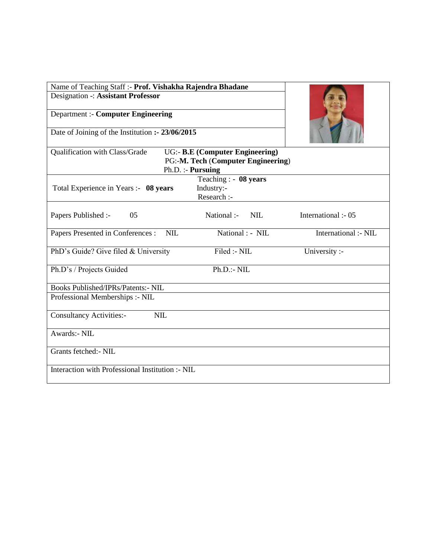| Name of Teaching Staff :- Prof. Vishakha Rajendra Bhadane |                                                                                                    |                      |
|-----------------------------------------------------------|----------------------------------------------------------------------------------------------------|----------------------|
| <b>Designation -: Assistant Professor</b>                 |                                                                                                    |                      |
| <b>Department :- Computer Engineering</b>                 |                                                                                                    |                      |
| Date of Joining of the Institution :- 23/06/2015          |                                                                                                    |                      |
| Qualification with Class/Grade                            | <b>UG:- B.E (Computer Engineering)</b><br>PG:-M. Tech (Computer Engineering)<br>$Ph.D. :$ Pursuing |                      |
|                                                           | Teaching : $-08$ years                                                                             |                      |
| Total Experience in Years :- 08 years                     | Industry:-<br>Research :-                                                                          |                      |
| Papers Published :-<br>05                                 | <b>NIL</b><br>National :-                                                                          | International :- 05  |
| Papers Presented in Conferences :<br><b>NIL</b>           | National : - NIL                                                                                   | International :- NIL |
| PhD's Guide? Give filed & University                      | Filed :- NIL                                                                                       | University :-        |
| Ph.D's / Projects Guided                                  | $Ph.D. - NIL$                                                                                      |                      |
| Books Published/IPRs/Patents:- NIL                        |                                                                                                    |                      |
| Professional Memberships :- NIL                           |                                                                                                    |                      |
| <b>Consultancy Activities:-</b><br><b>NIL</b>             |                                                                                                    |                      |
| Awards:- NIL                                              |                                                                                                    |                      |
| Grants fetched: - NIL                                     |                                                                                                    |                      |
| Interaction with Professional Institution :- NIL          |                                                                                                    |                      |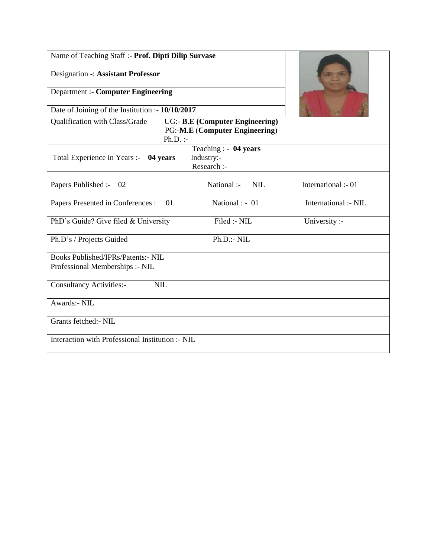| Name of Teaching Staff :- Prof. Dipti Dilip Survase |                                                                                 |                      |
|-----------------------------------------------------|---------------------------------------------------------------------------------|----------------------|
| Designation -: Assistant Professor                  |                                                                                 |                      |
| <b>Department :- Computer Engineering</b>           |                                                                                 |                      |
| Date of Joining of the Institution :- 10/10/2017    |                                                                                 |                      |
| Qualification with Class/Grade<br>$Ph.D.$ :-        | <b>UG:- B.E (Computer Engineering)</b><br><b>PG:-M.E (Computer Engineering)</b> |                      |
| Total Experience in Years :- 04 years               | Teaching : $-04$ years<br>Industry:-<br>Research :-                             |                      |
| Papers Published :- 02                              | National :-<br><b>NIL</b>                                                       | International :- 01  |
| Papers Presented in Conferences :<br>01             | National : - 01                                                                 | International :- NIL |
| PhD's Guide? Give filed & University                | Filed :- NIL                                                                    | University :-        |
| Ph.D's / Projects Guided                            | $Ph.D.:$ - NIL                                                                  |                      |
| <b>Books Published/IPRs/Patents:- NIL</b>           |                                                                                 |                      |
| Professional Memberships :- NIL                     |                                                                                 |                      |
| NIL<br><b>Consultancy Activities:-</b>              |                                                                                 |                      |
| Awards:- NIL                                        |                                                                                 |                      |
| Grants fetched: - NIL                               |                                                                                 |                      |
| Interaction with Professional Institution :- NIL    |                                                                                 |                      |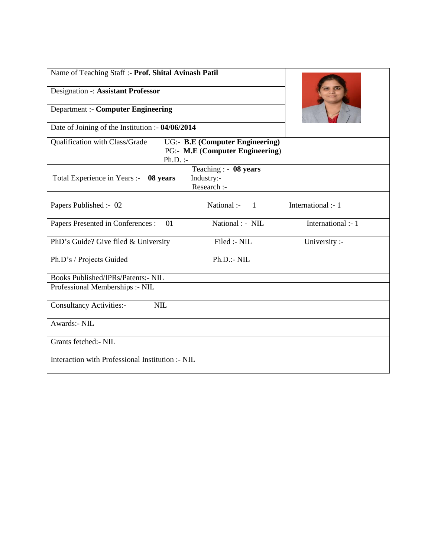| Name of Teaching Staff :- Prof. Shital Avinash Patil                                                                             |                                                    |                    |
|----------------------------------------------------------------------------------------------------------------------------------|----------------------------------------------------|--------------------|
| Designation -: Assistant Professor                                                                                               |                                                    |                    |
| <b>Department :- Computer Engineering</b>                                                                                        |                                                    |                    |
| Date of Joining of the Institution :- 04/06/2014                                                                                 |                                                    |                    |
| Qualification with Class/Grade<br><b>UG:- B.E (Computer Engineering)</b><br><b>PG:- M.E (Computer Engineering)</b><br>$Ph.D.$ :- |                                                    |                    |
| Total Experience in Years :- 08 years                                                                                            | Teaching : - 08 years<br>Industry:-<br>Research :- |                    |
| Papers Published :- 02                                                                                                           | National :-<br>$\sim$ 1                            | International :- 1 |
| Papers Presented in Conferences :<br>01                                                                                          | National : - NIL                                   | International :- 1 |
| PhD's Guide? Give filed & University                                                                                             | Filed :- NIL                                       | University :-      |
| Ph.D's / Projects Guided                                                                                                         | $Ph.D.:$ - NIL                                     |                    |
| Books Published/IPRs/Patents:- NIL                                                                                               |                                                    |                    |
| Professional Memberships :- NIL                                                                                                  |                                                    |                    |
| <b>Consultancy Activities:-</b><br><b>NIL</b>                                                                                    |                                                    |                    |
| Awards:- NIL                                                                                                                     |                                                    |                    |
| Grants fetched:- NIL                                                                                                             |                                                    |                    |
| Interaction with Professional Institution :- NIL                                                                                 |                                                    |                    |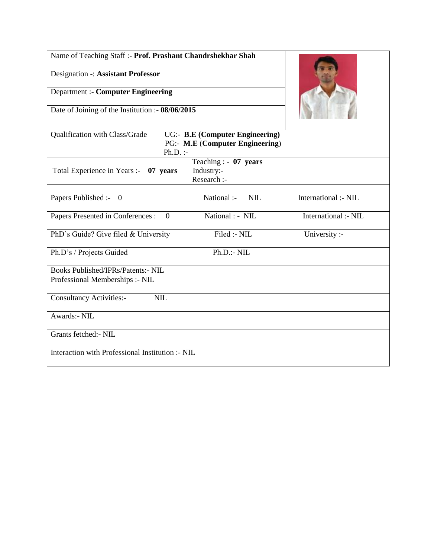| Name of Teaching Staff :- Prof. Prashant Chandrshekhar Shah                                                               |                                                     |                      |
|---------------------------------------------------------------------------------------------------------------------------|-----------------------------------------------------|----------------------|
| <b>Designation -: Assistant Professor</b>                                                                                 |                                                     |                      |
| <b>Department :- Computer Engineering</b>                                                                                 |                                                     |                      |
| Date of Joining of the Institution :- 08/06/2015                                                                          |                                                     |                      |
| Qualification with Class/Grade<br><b>UG:- B.E (Computer Engineering)</b><br>PG:- M.E (Computer Engineering)<br>$Ph.D.$ :- |                                                     |                      |
| Total Experience in Years :- 07 years                                                                                     | Teaching : $-07$ years<br>Industry:-<br>Research :- |                      |
| Papers Published :- 0                                                                                                     | National :-<br>NIL                                  | International :- NIL |
| Papers Presented in Conferences :<br>$\theta$                                                                             | National : - NIL                                    | International :- NIL |
| PhD's Guide? Give filed & University                                                                                      | Filed :- NIL                                        | University :-        |
| Ph.D's / Projects Guided                                                                                                  | Ph.D.:- NIL                                         |                      |
| Books Published/IPRs/Patents:- NIL                                                                                        |                                                     |                      |
| Professional Memberships :- NIL                                                                                           |                                                     |                      |
| <b>Consultancy Activities:-</b><br><b>NIL</b>                                                                             |                                                     |                      |
| <b>Awards:- NIL</b>                                                                                                       |                                                     |                      |
| Grants fetched: - NIL                                                                                                     |                                                     |                      |
| Interaction with Professional Institution :- NIL                                                                          |                                                     |                      |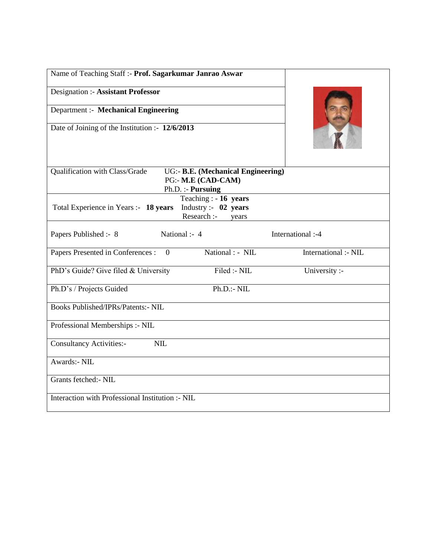| Name of Teaching Staff :- Prof. Sagarkumar Janrao Aswar                                                           |
|-------------------------------------------------------------------------------------------------------------------|
| Designation :- Assistant Professor                                                                                |
| Department :- Mechanical Engineering                                                                              |
| Date of Joining of the Institution :- 12/6/2013                                                                   |
| Qualification with Class/Grade<br>UG:- B.E. (Mechanical Engineering)<br>PG:- M.E (CAD-CAM)<br>Ph.D. :- Pursuing   |
| Teaching : $-16$ years<br>Industry :- $02$ years<br>Total Experience in Years :- 18 years<br>Research :-<br>years |
| National :- 4<br>International :-4<br>Papers Published :- 8                                                       |
| National : - NIL<br>International :- NIL<br>Papers Presented in Conferences :<br>$\mathbf{0}$                     |
| Filed :- NIL<br>PhD's Guide? Give filed & University<br>University :-                                             |
| Ph.D.:~NIL<br>Ph.D's / Projects Guided                                                                            |
| <b>Books Published/IPRs/Patents:- NIL</b>                                                                         |
| Professional Memberships :- NIL                                                                                   |
| NIL<br><b>Consultancy Activities:-</b>                                                                            |
| Awards:- NIL                                                                                                      |
| Grants fetched: - NIL                                                                                             |
| Interaction with Professional Institution :- NIL                                                                  |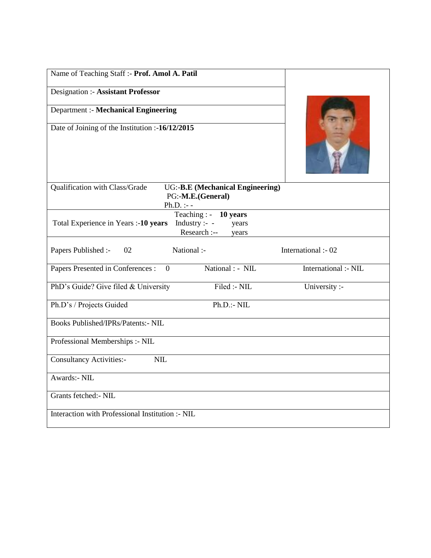| Name of Teaching Staff :- Prof. Amol A. Patil                                                                       |                      |
|---------------------------------------------------------------------------------------------------------------------|----------------------|
| Designation :- Assistant Professor                                                                                  |                      |
| <b>Department :- Mechanical Engineering</b>                                                                         |                      |
| Date of Joining of the Institution :-16/12/2015                                                                     |                      |
| Qualification with Class/Grade<br><b>UG:-B.E</b> (Mechanical Engineering)<br>PG:-M.E.(General)<br>$Ph.D. :- -$      |                      |
| Teaching : - 10 years<br>Total Experience in Years :- 10 years<br>Industry :- $-$<br>years<br>Research :--<br>years |                      |
| Papers Published :-<br>02<br>National :-                                                                            | International :- 02  |
| National : - NIL<br>Papers Presented in Conferences :<br>$\overline{0}$                                             | International :- NIL |
| Filed :- NIL<br>PhD's Guide? Give filed & University                                                                | University :-        |
| Ph.D.:- NIL<br>Ph.D's / Projects Guided                                                                             |                      |
| <b>Books Published/IPRs/Patents:- NIL</b>                                                                           |                      |
| Professional Memberships :- NIL                                                                                     |                      |
| <b>Consultancy Activities:-</b><br><b>NIL</b>                                                                       |                      |
| Awards:- NIL                                                                                                        |                      |
| Grants fetched: - NIL                                                                                               |                      |
| Interaction with Professional Institution :- NIL                                                                    |                      |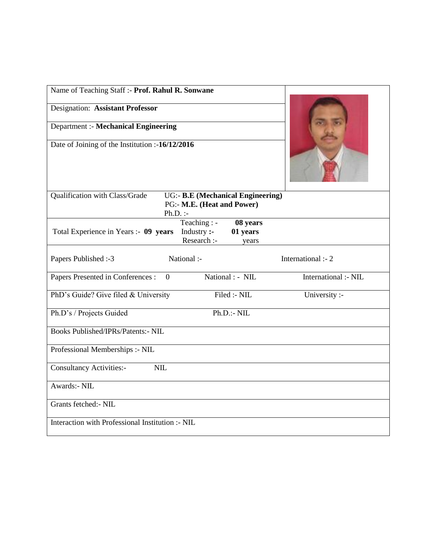| Name of Teaching Staff :- Prof. Rahul R. Sonwane |                                                                        |                               |                      |
|--------------------------------------------------|------------------------------------------------------------------------|-------------------------------|----------------------|
| Designation: Assistant Professor                 |                                                                        |                               |                      |
| <b>Department :- Mechanical Engineering</b>      |                                                                        |                               |                      |
| Date of Joining of the Institution :-16/12/2016  |                                                                        |                               |                      |
| Qualification with Class/Grade<br>$Ph.D.$ :-     | <b>UG:- B.E (Mechanical Engineering)</b><br>PG:- M.E. (Heat and Power) |                               |                      |
| Total Experience in Years :- 09 years            | Teaching : -<br>Industry :-<br>Research :-                             | 08 years<br>01 years<br>years |                      |
| Papers Published:-3                              | National :-                                                            |                               | International :- 2   |
| Papers Presented in Conferences :<br>$\Omega$    | National : - NIL                                                       |                               | International :- NIL |
| PhD's Guide? Give filed & University             | Filed :- NIL                                                           |                               | University :-        |
| Ph.D's / Projects Guided                         | Ph.D.:~NIL                                                             |                               |                      |
| <b>Books Published/IPRs/Patents:- NIL</b>        |                                                                        |                               |                      |
| Professional Memberships :- NIL                  |                                                                        |                               |                      |
| <b>Consultancy Activities:-</b><br><b>NIL</b>    |                                                                        |                               |                      |
| Awards:- NIL                                     |                                                                        |                               |                      |
| Grants fetched: - NIL                            |                                                                        |                               |                      |
| Interaction with Professional Institution :- NIL |                                                                        |                               |                      |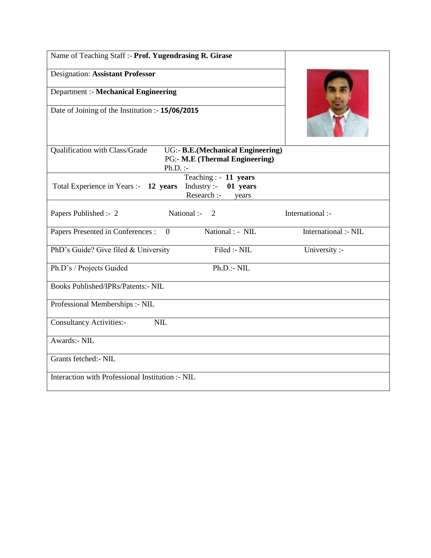| Name of Teaching Staff :- Prof. Yugendrasing R. Girase |                                                                        |                      |
|--------------------------------------------------------|------------------------------------------------------------------------|----------------------|
| <b>Designation: Assistant Professor</b>                |                                                                        |                      |
| <b>Department :- Mechanical Engineering</b>            |                                                                        |                      |
| Date of Joining of the Institution :- 15/06/2015       |                                                                        |                      |
| Qualification with Class/Grade<br>$Ph.D.$ :-           | UG:- B.E. (Mechanical Engineering)<br>PG:- M.E (Thermal Engineering)   |                      |
| Total Experience in Years :- 12 years                  | Teaching : - 11 years<br>Industry:<br>01 years<br>Research :-<br>years |                      |
| Papers Published :- 2                                  | National :- 2                                                          | International :-     |
| Papers Presented in Conferences :<br>$\overline{0}$    | National : - NIL                                                       | International :- NIL |
| PhD's Guide? Give filed & University                   | Filed :- NIL                                                           | University :-        |
| Ph.D's / Projects Guided                               | Ph.D.:~NIL                                                             |                      |
| <b>Books Published/IPRs/Patents:- NIL</b>              |                                                                        |                      |
| Professional Memberships :- NIL                        |                                                                        |                      |
| <b>Consultancy Activities:-</b><br><b>NIL</b>          |                                                                        |                      |
| Awards:- NIL                                           |                                                                        |                      |
| Grants fetched: - NIL                                  |                                                                        |                      |
| Interaction with Professional Institution :- NIL       |                                                                        |                      |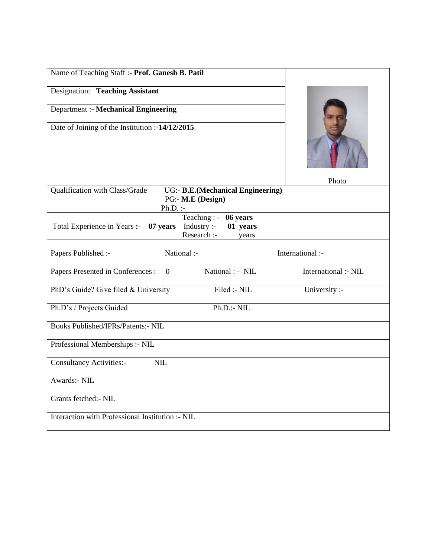| Name of Teaching Staff :- Prof. Ganesh B. Patil                                                                     |                      |
|---------------------------------------------------------------------------------------------------------------------|----------------------|
| Designation: Teaching Assistant                                                                                     |                      |
| <b>Department :- Mechanical Engineering</b>                                                                         |                      |
| Date of Joining of the Institution :-14/12/2015                                                                     |                      |
| Qualification with Class/Grade<br>UG:- B.E.(Mechanical Engineering)                                                 | Photo                |
| PG:- M.E (Design)<br>$Ph.D.$ :-                                                                                     |                      |
| Teaching : $-$ 06 years<br>Industry :-<br>01 years<br>Total Experience in Years :- 07 years<br>Research :-<br>years |                      |
| National :-<br>Papers Published :-                                                                                  | International :-     |
| National : - NIL<br>Papers Presented in Conferences :<br>$\overline{0}$                                             | International :- NIL |
| Filed :- NIL<br>PhD's Guide? Give filed & University                                                                | University :-        |
| Ph.D.:NIL<br>Ph.D's / Projects Guided                                                                               |                      |
| <b>Books Published/IPRs/Patents:- NIL</b>                                                                           |                      |
| Professional Memberships :- NIL                                                                                     |                      |
| <b>Consultancy Activities:-</b><br>NIL                                                                              |                      |
| Awards:- NIL                                                                                                        |                      |
| Grants fetched:- NIL                                                                                                |                      |
| Interaction with Professional Institution :- NIL                                                                    |                      |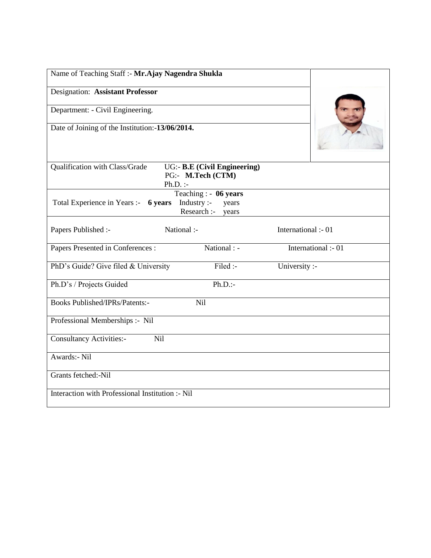| Name of Teaching Staff :- Mr.Ajay Nagendra Shukla |                                                                        |                     |
|---------------------------------------------------|------------------------------------------------------------------------|---------------------|
| <b>Designation: Assistant Professor</b>           |                                                                        |                     |
| Department: - Civil Engineering.                  |                                                                        |                     |
| Date of Joining of the Institution:-13/06/2014.   |                                                                        |                     |
| Qualification with Class/Grade                    | <b>UG:- B.E (Civil Engineering)</b><br>PG:- M.Tech (CTM)<br>$Ph.D.$ :- |                     |
| Total Experience in Years :- 6 years              | Teaching : $-06$ years<br>Industry:<br>years<br>Research :-<br>years   |                     |
| Papers Published :-                               | National :-                                                            | International :- 01 |
| Papers Presented in Conferences :                 | National : -                                                           | International :- 01 |
| PhD's Guide? Give filed & University              | Filed :-                                                               | University :-       |
| Ph.D's / Projects Guided                          | $Ph.D.$ :-                                                             |                     |
| <b>Books Published/IPRs/Patents:-</b>             | <b>Nil</b>                                                             |                     |
| Professional Memberships :- Nil                   |                                                                        |                     |
| <b>Consultancy Activities:-</b><br>Nil            |                                                                        |                     |
| Awards:- Nil                                      |                                                                        |                     |
| Grants fetched:-Nil                               |                                                                        |                     |
| Interaction with Professional Institution :- Nil  |                                                                        |                     |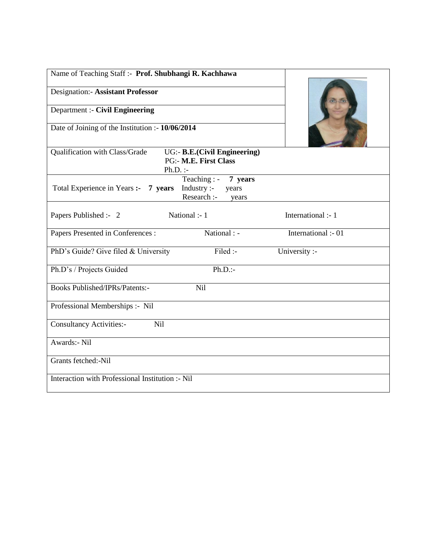| Name of Teaching Staff :- Prof. Shubhangi R. Kachhawa                                                               |                     |
|---------------------------------------------------------------------------------------------------------------------|---------------------|
| <b>Designation:- Assistant Professor</b>                                                                            |                     |
| Department :- Civil Engineering                                                                                     |                     |
| Date of Joining of the Institution :- 10/06/2014                                                                    |                     |
| <b>UG:- B.E.(Civil Engineering)</b><br>Qualification with Class/Grade<br><b>PG:- M.E. First Class</b><br>$Ph.D.$ :- |                     |
| Teaching : -<br>7 years<br>Industry :-<br>Total Experience in Years :- 7 years<br>years<br>Research :-<br>years     |                     |
| National :- 1<br>Papers Published :- 2                                                                              | International :- 1  |
| National : -<br>Papers Presented in Conferences :                                                                   | International :- 01 |
| PhD's Guide? Give filed & University<br>Filed :-                                                                    | University :-       |
| $Ph.D.$ :-<br>Ph.D's / Projects Guided                                                                              |                     |
| <b>Books Published/IPRs/Patents:-</b><br>Nil                                                                        |                     |
| Professional Memberships :- Nil                                                                                     |                     |
| <b>Consultancy Activities:-</b><br><b>Nil</b>                                                                       |                     |
| Awards:- Nil                                                                                                        |                     |
| Grants fetched:-Nil                                                                                                 |                     |
| Interaction with Professional Institution :- Nil                                                                    |                     |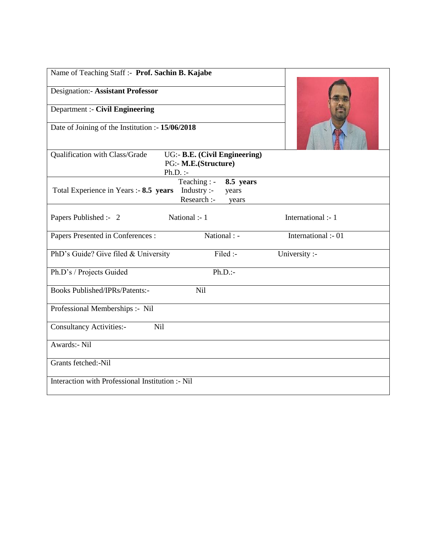| Name of Teaching Staff :- Prof. Sachin B. Kajabe                                                                    |                     |
|---------------------------------------------------------------------------------------------------------------------|---------------------|
| <b>Designation:- Assistant Professor</b>                                                                            |                     |
| <b>Department :- Civil Engineering</b>                                                                              |                     |
| Date of Joining of the Institution :- 15/06/2018                                                                    |                     |
| Qualification with Class/Grade<br>UG:- B.E. (Civil Engineering)<br>PG:- M.E.(Structure)<br>$Ph.D.$ :-               |                     |
| Teaching : -<br>8.5 years<br>Industry :-<br>Total Experience in Years :- 8.5 years<br>years<br>Research :-<br>years |                     |
| Papers Published :- 2<br>National :- 1                                                                              | International :- 1  |
| National : -<br>Papers Presented in Conferences :                                                                   | International :- 01 |
| Filed :-<br>PhD's Guide? Give filed & University                                                                    | University :-       |
| $Ph.D.$ :-<br>Ph.D's / Projects Guided                                                                              |                     |
| <b>Books Published/IPRs/Patents:-</b><br><b>Nil</b>                                                                 |                     |
| Professional Memberships :- Nil                                                                                     |                     |
| <b>Consultancy Activities:-</b><br>Nil                                                                              |                     |
| Awards:- Nil                                                                                                        |                     |
| Grants fetched:-Nil                                                                                                 |                     |
| Interaction with Professional Institution :- Nil                                                                    |                     |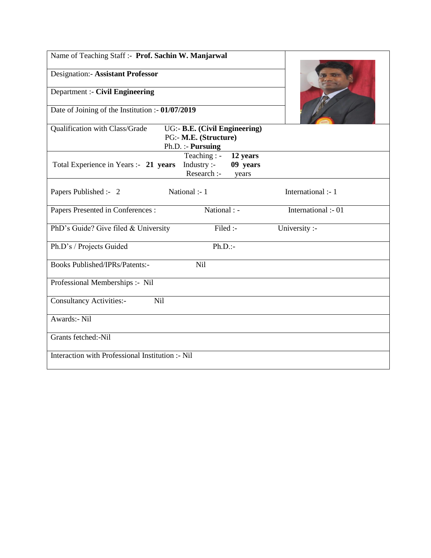| Name of Teaching Staff :- Prof. Sachin W. Manjarwal                                                                  |                     |
|----------------------------------------------------------------------------------------------------------------------|---------------------|
| <b>Designation:- Assistant Professor</b>                                                                             |                     |
| <b>Department :- Civil Engineering</b>                                                                               |                     |
| Date of Joining of the Institution :- 01/07/2019                                                                     |                     |
| Qualification with Class/Grade<br>UG:- B.E. (Civil Engineering)<br>PG:- M.E. (Structure)<br>Ph.D. :- Pursuing        |                     |
| Teaching : -<br>12 years<br>Total Experience in Years :- 21 years<br>09 years<br>Industry :-<br>Research :-<br>years |                     |
| National :- 1<br>Papers Published :- 2                                                                               | International :- 1  |
| National : -<br>Papers Presented in Conferences :                                                                    | International :- 01 |
| PhD's Guide? Give filed & University<br>Filed :-                                                                     | University :-       |
| $Ph.D.$ :-<br>Ph.D's / Projects Guided                                                                               |                     |
| <b>Books Published/IPRs/Patents:-</b><br>Nil                                                                         |                     |
| Professional Memberships :- Nil                                                                                      |                     |
| <b>Consultancy Activities:-</b><br>Nil                                                                               |                     |
| Awards:- Nil                                                                                                         |                     |
| Grants fetched:-Nil                                                                                                  |                     |
| Interaction with Professional Institution :- Nil                                                                     |                     |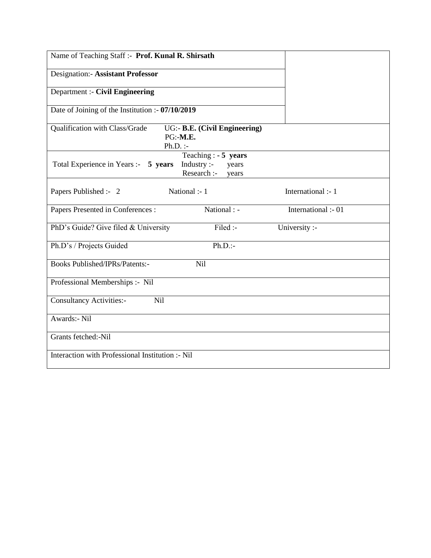| Name of Teaching Staff :- Prof. Kunal R. Shirsath                                                             |                     |
|---------------------------------------------------------------------------------------------------------------|---------------------|
| Designation:- Assistant Professor                                                                             |                     |
| <b>Department :- Civil Engineering</b>                                                                        |                     |
| Date of Joining of the Institution :- 07/10/2019                                                              |                     |
| Qualification with Class/Grade<br>UG:- B.E. (Civil Engineering)<br>PG:-M.E.<br>$Ph.D.$ :-                     |                     |
| Teaching : $-5$ years<br>Industry :-<br>Total Experience in Years :- 5 years<br>years<br>Research :-<br>years |                     |
| Papers Published :- 2<br>National :- 1                                                                        | International :- 1  |
| Papers Presented in Conferences :<br>National : -                                                             | International :- 01 |
| Filed :-<br>PhD's Guide? Give filed & University                                                              | University :-       |
| $Ph.D.$ :-<br>Ph.D's / Projects Guided                                                                        |                     |
| <b>Books Published/IPRs/Patents:-</b><br>Nil                                                                  |                     |
| Professional Memberships :- Nil                                                                               |                     |
|                                                                                                               |                     |
| <b>Consultancy Activities:-</b><br>Nil                                                                        |                     |
| Awards:- Nil                                                                                                  |                     |
| Grants fetched:-Nil                                                                                           |                     |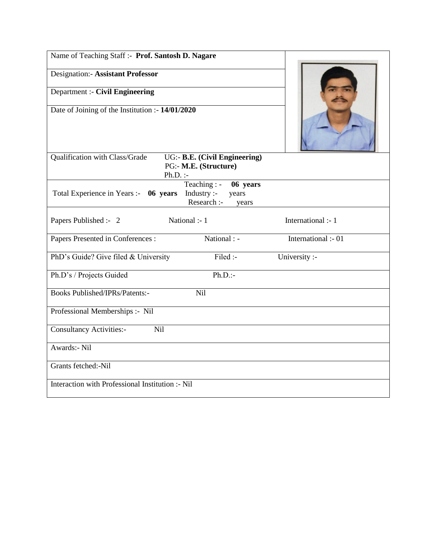| Name of Teaching Staff :- Prof. Santosh D. Nagare |                                                                         |                     |
|---------------------------------------------------|-------------------------------------------------------------------------|---------------------|
| <b>Designation:- Assistant Professor</b>          |                                                                         |                     |
| <b>Department :- Civil Engineering</b>            |                                                                         |                     |
| Date of Joining of the Institution :- 14/01/2020  |                                                                         |                     |
| Qualification with Class/Grade<br>$Ph.D.$ :-      | UG:- B.E. (Civil Engineering)<br>PG:- M.E. (Structure)                  |                     |
| Total Experience in Years :- 06 years             | $Teaching: -$<br>06 years<br>Industry:<br>years<br>Research :-<br>years |                     |
| Papers Published :- 2                             | National :- 1                                                           | International :- 1  |
| Papers Presented in Conferences :                 | National : -                                                            | International :- 01 |
| PhD's Guide? Give filed & University              | Filed :-                                                                | University :-       |
| Ph.D's / Projects Guided                          | $Ph.D.$ :-                                                              |                     |
| <b>Books Published/IPRs/Patents:-</b>             | <b>Nil</b>                                                              |                     |
| Professional Memberships :- Nil                   |                                                                         |                     |
| <b>Consultancy Activities:-</b><br>Nil            |                                                                         |                     |
| <b>Awards:- Nil</b>                               |                                                                         |                     |
| Grants fetched:-Nil                               |                                                                         |                     |
| Interaction with Professional Institution :- Nil  |                                                                         |                     |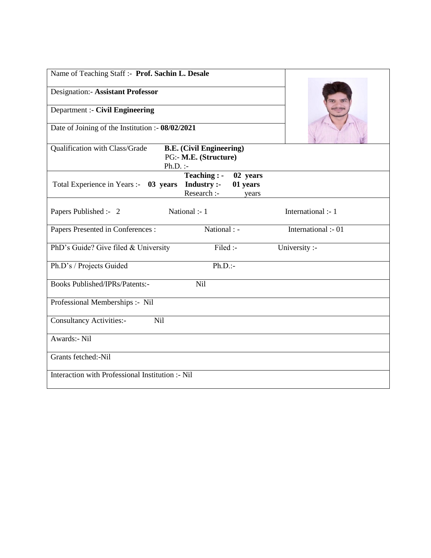| Name of Teaching Staff :- Prof. Sachin L. Desale                                                                           |                     |
|----------------------------------------------------------------------------------------------------------------------------|---------------------|
| <b>Designation:- Assistant Professor</b>                                                                                   |                     |
| Department :- Civil Engineering                                                                                            |                     |
| Date of Joining of the Institution :- 08/02/2021                                                                           |                     |
| Qualification with Class/Grade<br><b>B.E.</b> (Civil Engineering)<br>PG:- M.E. (Structure)<br>$Ph.D.$ :-                   |                     |
| Teaching : -<br>02 years<br><b>Industry:-</b><br>01 years<br>Total Experience in Years :- 03 years<br>Research :-<br>years |                     |
| National :- 1<br>Papers Published :- 2                                                                                     | International :- 1  |
| National : -<br>Papers Presented in Conferences :                                                                          | International :- 01 |
| Filed :-<br>PhD's Guide? Give filed & University                                                                           | University :-       |
| $Ph.D.$ :-<br>Ph.D's / Projects Guided                                                                                     |                     |
| <b>Books Published/IPRs/Patents:-</b><br>Nil                                                                               |                     |
| Professional Memberships :- Nil                                                                                            |                     |
| Nil<br><b>Consultancy Activities:-</b>                                                                                     |                     |
| Awards:- Nil                                                                                                               |                     |
| Grants fetched:-Nil                                                                                                        |                     |
| Interaction with Professional Institution :- Nil                                                                           |                     |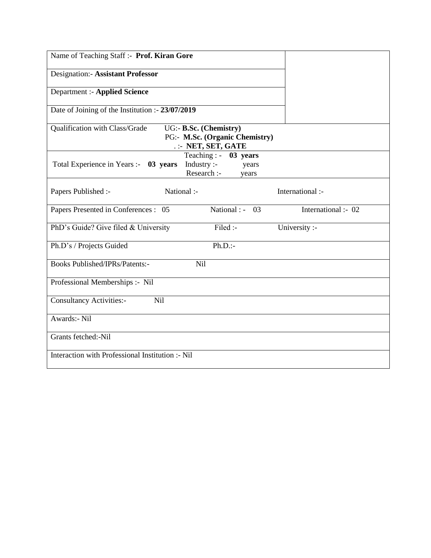| Name of Teaching Staff :- Prof. Kiran Gore                                                                        |                     |
|-------------------------------------------------------------------------------------------------------------------|---------------------|
| <b>Designation:- Assistant Professor</b>                                                                          |                     |
| <b>Department :- Applied Science</b>                                                                              |                     |
| Date of Joining of the Institution :- 23/07/2019                                                                  |                     |
| Qualification with Class/Grade<br>UG:- B.Sc. (Chemistry)<br>PG:- M.Sc. (Organic Chemistry)<br>.: NET, SET, GATE   |                     |
| Teaching : -<br>03 years<br>Industry :-<br>Total Experience in Years :- 03 years<br>years<br>Research :-<br>years |                     |
| National :-<br>Papers Published :-                                                                                | International :-    |
| Papers Presented in Conferences : 05<br>National : -<br>03                                                        | International :- 02 |
| Filed :-<br>PhD's Guide? Give filed & University                                                                  | University :-       |
| $Ph.D.$ :-<br>Ph.D's / Projects Guided                                                                            |                     |
| <b>Books Published/IPRs/Patents:-</b><br>Nil                                                                      |                     |
| Professional Memberships :- Nil                                                                                   |                     |
| Nil<br><b>Consultancy Activities:-</b>                                                                            |                     |
| Awards:- Nil                                                                                                      |                     |
| Grants fetched:-Nil                                                                                               |                     |
| Interaction with Professional Institution :- Nil                                                                  |                     |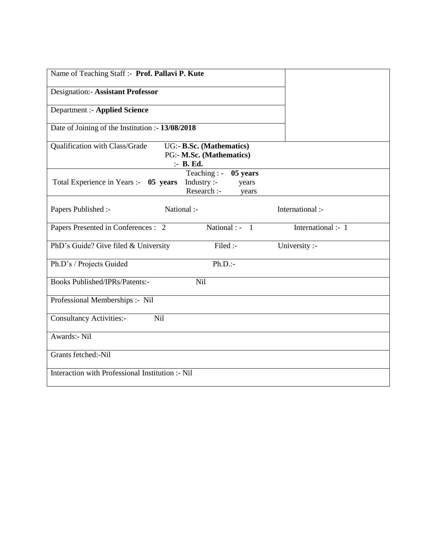| Name of Teaching Staff :- Prof. Pallavi P. Kute                                                                   |                    |
|-------------------------------------------------------------------------------------------------------------------|--------------------|
| <b>Designation:- Assistant Professor</b>                                                                          |                    |
| <b>Department :- Applied Science</b>                                                                              |                    |
| Date of Joining of the Institution :- 13/08/2018                                                                  |                    |
| Qualification with Class/Grade<br>UG:- B.Sc. (Mathematics)<br>PG:- M.Sc. (Mathematics)<br>:- B. Ed.               |                    |
| Teaching : -<br>05 years<br>Total Experience in Years :- 05 years<br>Industry :-<br>years<br>Research :-<br>years |                    |
| Papers Published :-<br>National :-                                                                                | International :-   |
| National : $-1$<br>Papers Presented in Conferences : 2                                                            | International :- 1 |
| Filed :-<br>PhD's Guide? Give filed & University                                                                  | University :-      |
| $Ph.D.$ :-<br>Ph.D's / Projects Guided                                                                            |                    |
| <b>Books Published/IPRs/Patents:-</b><br>Nil                                                                      |                    |
| Professional Memberships :- Nil                                                                                   |                    |
| Nil<br><b>Consultancy Activities:-</b>                                                                            |                    |
| Awards:- Nil                                                                                                      |                    |
| Grants fetched:-Nil                                                                                               |                    |
| Interaction with Professional Institution :- Nil                                                                  |                    |